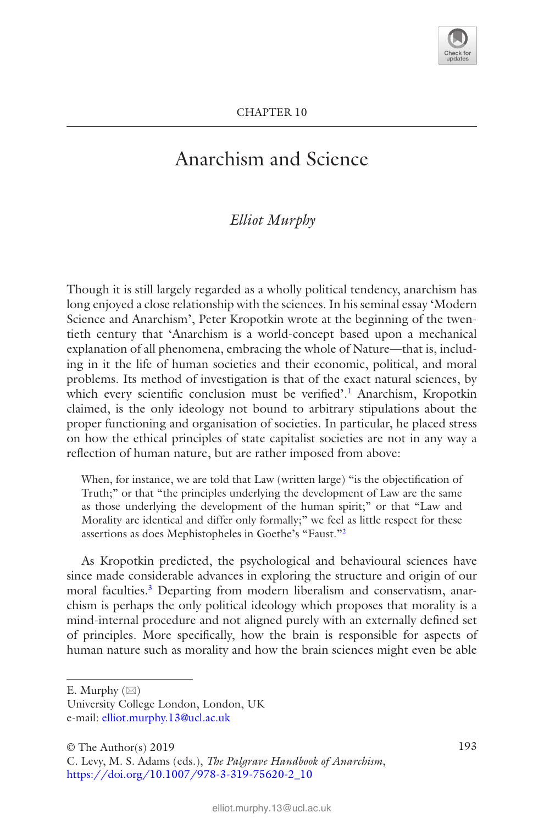

# Anarchism and Science

# *Elliot Murphy*

Though it is still largely regarded as a wholly political tendency, anarchism has long enjoyed a close relationship with the sciences. In his seminal essay 'Modern Science and Anarchism', Peter Kropotkin wrote at the beginning of the twentieth century that 'Anarchism is a world-concept based upon a mechanical explanation of all phenomena, embracing the whole of Nature—that is, including in it the life of human societies and their economic, political, and moral problems. Its method of investigation is that of the exact natural sciences, by which every scientific conclusion must be verified'.<sup>1</sup> Anarchism, Kropotkin claimed, is the only ideology not bound to arbitrary stipulations about the proper functioning and organisation of societies. In particular, he placed stress on how the ethical principles of state capitalist societies are not in any way a reflection of human nature, but are rather imposed from above:

When, for instance, we are told that Law (written large) "is the objectification of Truth;" or that "the principles underlying the development of Law are the same as those underlying the development of the human spirit;" or that "Law and Morality are identical and differ only formally;" we feel as little respect for these assertions as does Mephistopheles in Goethe's "Faust."2

As Kropotkin predicted, the psychological and behavioural sciences have since made considerable advances in exploring the structure and origin of our moral faculties.<sup>3</sup> Departing from modern liberalism and conservatism, anarchism is perhaps the only political ideology which proposes that morality is a mind-internal procedure and not aligned purely with an externally defined set of principles. More specifically, how the brain is responsible for aspects of human nature such as morality and how the brain sciences might even be able

 $\degree$  The Author(s) 2019 193 C. Levy, M. S. Adams (eds.), *The Palgrave Handbook of Anarchism*, [https://doi.org/10.1007/978-3-319-75620-2\\_10](#page-4-0)

E. Murphy  $(\boxtimes)$ 

University College London, London, UK e-mail: [elliot.murphy.13@ucl.ac.uk](mailto:elliot.murphy.13@ucl.ac.uk)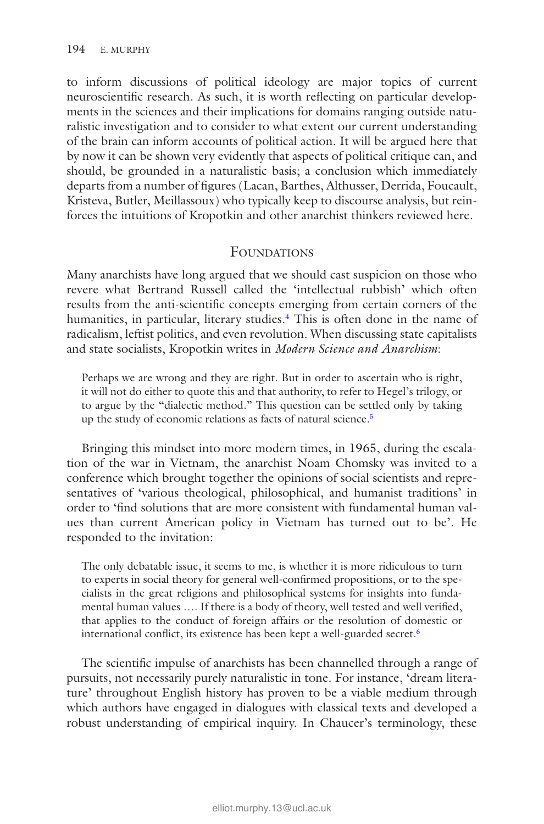to inform discussions of political ideology are major topics of current neuroscientific research. As such, it is worth reflecting on particular developments in the sciences and their implications for domains ranging outside naturalistic investigation and to consider to what extent our current understanding of the brain can inform accounts of political action. It will be argued here that by now it can be shown very evidently that aspects of political critique can, and should, be grounded in a naturalistic basis; a conclusion which immediately departs from a number of figures (Lacan, Barthes, Althusser, Derrida, Foucault, Kristeva, Butler, Meillassoux) who typically keep to discourse analysis, but reinforces the intuitions of Kropotkin and other anarchist thinkers reviewed here.

#### FOUNDATIONS

Many anarchists have long argued that we should cast suspicion on those who revere what Bertrand Russell called the 'intellectual rubbish' which often results from the anti-scientific concepts emerging from certain corners of the humanities, in particular, literary studies.<sup>4</sup> This is often done in the name of radicalism, leftist politics, and even revolution. When discussing state capitalists and state socialists, Kropotkin writes in *Modern Science and Anarchism*:

Perhaps we are wrong and they are right. But in order to ascertain who is right, it will not do either to quote this and that authority, to refer to Hegel's trilogy, or to argue by the "dialectic method." This question can be settled only by taking up the study of economic relations as facts of natural science.5

Bringing this mindset into more modern times, in 1965, during the escalation of the war in Vietnam, the anarchist Noam Chomsky was invited to a conference which brought together the opinions of social scientists and representatives of 'various theological, philosophical, and humanist traditions' in order to 'find solutions that are more consistent with fundamental human values than current American policy in Vietnam has turned out to be'. He responded to the invitation:

The only debatable issue, it seems to me, is whether it is more ridiculous to turn to experts in social theory for general well-confirmed propositions, or to the specialists in the great religions and philosophical systems for insights into fundamental human values …. If there is a body of theory, well tested and well verified, that applies to the conduct of foreign affairs or the resolution of domestic or international conflict, its existence has been kept a well-guarded secret.<sup>6</sup>

The scientific impulse of anarchists has been channelled through a range of pursuits, not necessarily purely naturalistic in tone. For instance, 'dream literature' throughout English history has proven to be a viable medium through which authors have engaged in dialogues with classical texts and developed a robust understanding of empirical inquiry. In Chaucer's terminology, these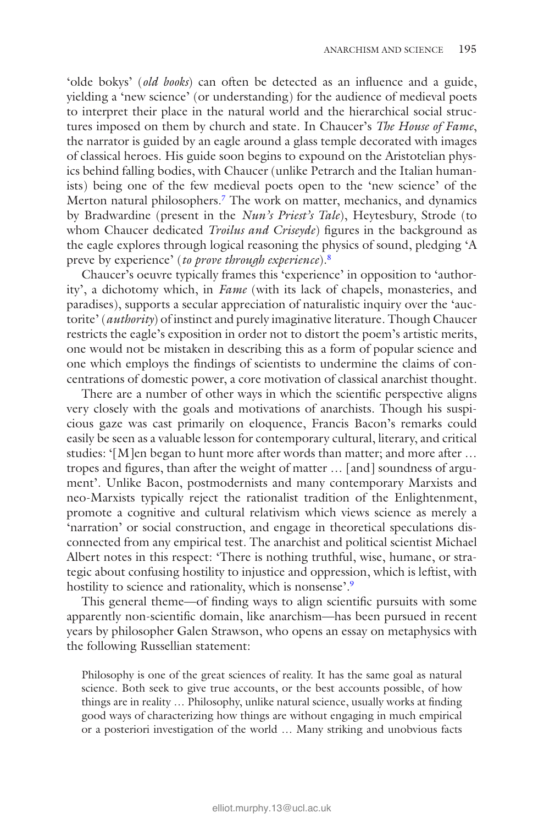'olde bokys' (*old books*) can often be detected as an influence and a guide, yielding a 'new science' (or understanding) for the audience of medieval poets to interpret their place in the natural world and the hierarchical social structures imposed on them by church and state. In Chaucer's *The House of Fame*, the narrator is guided by an eagle around a glass temple decorated with images of classical heroes. His guide soon begins to expound on the Aristotelian physics behind falling bodies, with Chaucer (unlike Petrarch and the Italian humanists) being one of the few medieval poets open to the 'new science' of the Merton natural philosophers.<sup>7</sup> The work on matter, mechanics, and dynamics by Bradwardine (present in the *Nun's Priest's Tale*), Heytesbury, Strode (to whom Chaucer dedicated *Troilus and Criseyde*) figures in the background as the eagle explores through logical reasoning the physics of sound, pledging 'A preve by experience' (*to prove through experience*).8

Chaucer's oeuvre typically frames this 'experience' in opposition to 'authority', a dichotomy which, in *Fame* (with its lack of chapels, monasteries, and paradises), supports a secular appreciation of naturalistic inquiry over the 'auctorite' (*authority*) of instinct and purely imaginative literature. Though Chaucer restricts the eagle's exposition in order not to distort the poem's artistic merits, one would not be mistaken in describing this as a form of popular science and one which employs the findings of scientists to undermine the claims of concentrations of domestic power, a core motivation of classical anarchist thought.

There are a number of other ways in which the scientific perspective aligns very closely with the goals and motivations of anarchists. Though his suspicious gaze was cast primarily on eloquence, Francis Bacon's remarks could easily be seen as a valuable lesson for contemporary cultural, literary, and critical studies: '[M]en began to hunt more after words than matter; and more after … tropes and figures, than after the weight of matter … [and] soundness of argument'. Unlike Bacon, postmodernists and many contemporary Marxists and neo-Marxists typically reject the rationalist tradition of the Enlightenment, promote a cognitive and cultural relativism which views science as merely a 'narration' or social construction, and engage in theoretical speculations disconnected from any empirical test. The anarchist and political scientist Michael Albert notes in this respect: 'There is nothing truthful, wise, humane, or strategic about confusing hostility to injustice and oppression, which is leftist, with hostility to science and rationality, which is nonsense'.<sup>9</sup>

This general theme—of finding ways to align scientific pursuits with some apparently non-scientific domain, like anarchism—has been pursued in recent years by philosopher Galen Strawson, who opens an essay on metaphysics with the following Russellian statement:

Philosophy is one of the great sciences of reality. It has the same goal as natural science. Both seek to give true accounts, or the best accounts possible, of how things are in reality … Philosophy, unlike natural science, usually works at finding good ways of characterizing how things are without engaging in much empirical or a posteriori investigation of the world … Many striking and unobvious facts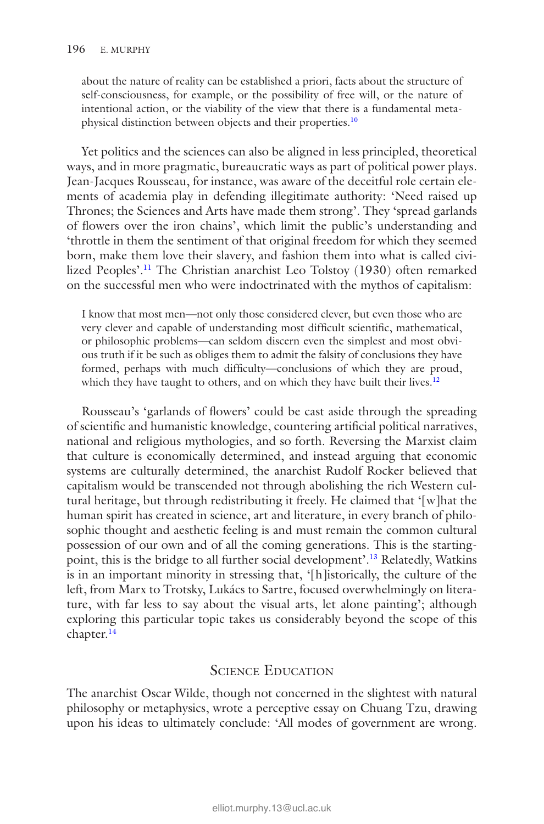about the nature of reality can be established a priori, facts about the structure of self-consciousness, for example, or the possibility of free will, or the nature of intentional action, or the viability of the view that there is a fundamental metaphysical distinction between objects and their properties.<sup>10</sup>

Yet politics and the sciences can also be aligned in less principled, theoretical ways, and in more pragmatic, bureaucratic ways as part of political power plays. Jean-Jacques Rousseau, for instance, was aware of the deceitful role certain elements of academia play in defending illegitimate authority: 'Need raised up Thrones; the Sciences and Arts have made them strong'. They 'spread garlands of flowers over the iron chains', which limit the public's understanding and 'throttle in them the sentiment of that original freedom for which they seemed born, make them love their slavery, and fashion them into what is called civilized Peoples'.<sup>11</sup> The Christian anarchist Leo Tolstoy (1930) often remarked on the successful men who were indoctrinated with the mythos of capitalism:

I know that most men—not only those considered clever, but even those who are very clever and capable of understanding most difficult scientific, mathematical, or philosophic problems—can seldom discern even the simplest and most obvious truth if it be such as obliges them to admit the falsity of conclusions they have formed, perhaps with much difficulty—conclusions of which they are proud, which they have taught to others, and on which they have built their lives.<sup>12</sup>

Rousseau's 'garlands of flowers' could be cast aside through the spreading of scientific and humanistic knowledge, countering artificial political narratives, national and religious mythologies, and so forth. Reversing the Marxist claim that culture is economically determined, and instead arguing that economic systems are culturally determined, the anarchist Rudolf Rocker believed that capitalism would be transcended not through abolishing the rich Western cultural heritage, but through redistributing it freely. He claimed that '[w]hat the human spirit has created in science, art and literature, in every branch of philosophic thought and aesthetic feeling is and must remain the common cultural possession of our own and of all the coming generations. This is the startingpoint, this is the bridge to all further social development'.13 Relatedly, Watkins is in an important minority in stressing that, '[h]istorically, the culture of the left, from Marx to Trotsky, Lukács to Sartre, focused overwhelmingly on literature, with far less to say about the visual arts, let alone painting'; although exploring this particular topic takes us considerably beyond the scope of this chapter.14

# SCIENCE EDUCATION

The anarchist Oscar Wilde, though not concerned in the slightest with natural philosophy or metaphysics, wrote a perceptive essay on Chuang Tzu, drawing upon his ideas to ultimately conclude: 'All modes of government are wrong.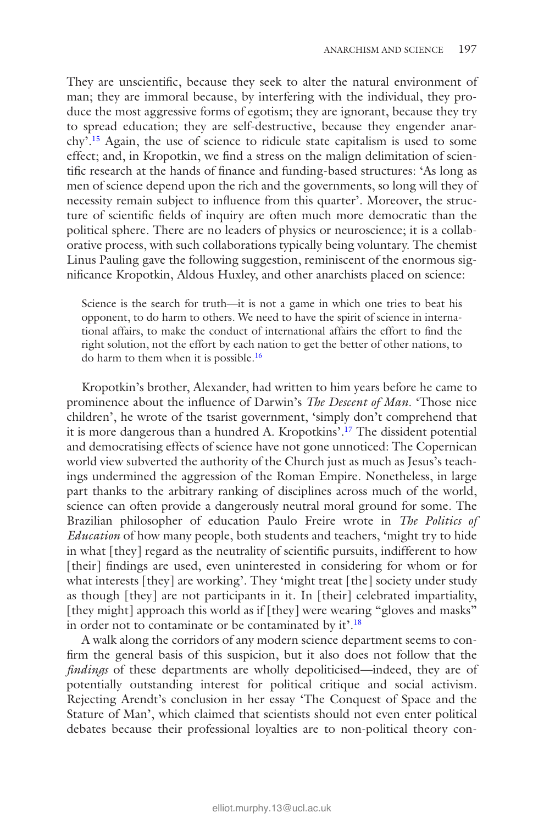<span id="page-4-0"></span>They are unscientific, because they seek to alter the natural environment of man; they are immoral because, by interfering with the individual, they produce the most aggressive forms of egotism; they are ignorant, because they try to spread education; they are self-destructive, because they engender anarchy'.15 Again, the use of science to ridicule state capitalism is used to some effect; and, in Kropotkin, we find a stress on the malign delimitation of scientific research at the hands of finance and funding-based structures: 'As long as men of science depend upon the rich and the governments, so long will they of necessity remain subject to influence from this quarter'. Moreover, the structure of scientific fields of inquiry are often much more democratic than the political sphere. There are no leaders of physics or neuroscience; it is a collaborative process, with such collaborations typically being voluntary. The chemist Linus Pauling gave the following suggestion, reminiscent of the enormous significance Kropotkin, Aldous Huxley, and other anarchists placed on science:

Science is the search for truth—it is not a game in which one tries to beat his opponent, to do harm to others. We need to have the spirit of science in international affairs, to make the conduct of international affairs the effort to find the right solution, not the effort by each nation to get the better of other nations, to do harm to them when it is possible.16

Kropotkin's brother, Alexander, had written to him years before he came to prominence about the influence of Darwin's *The Descent of Man*. 'Those nice children', he wrote of the tsarist government, 'simply don't comprehend that it is more dangerous than a hundred A. Kropotkins'.17 The dissident potential and democratising effects of science have not gone unnoticed: The Copernican world view subverted the authority of the Church just as much as Jesus's teachings undermined the aggression of the Roman Empire. Nonetheless, in large part thanks to the arbitrary ranking of disciplines across much of the world, science can often provide a dangerously neutral moral ground for some. The Brazilian philosopher of education Paulo Freire wrote in *The Politics of Education* of how many people, both students and teachers, 'might try to hide in what [they] regard as the neutrality of scientific pursuits, indifferent to how [their] findings are used, even uninterested in considering for whom or for what interests [they] are working'. They 'might treat [the] society under study as though [they] are not participants in it. In [their] celebrated impartiality, [they might] approach this world as if [they] were wearing "gloves and masks" in order not to contaminate or be contaminated by it'.18

A walk along the corridors of any modern science department seems to confirm the general basis of this suspicion, but it also does not follow that the *findings* of these departments are wholly depoliticised—indeed, they are of potentially outstanding interest for political critique and social activism. Rejecting Arendt's conclusion in her essay 'The Conquest of Space and the Stature of Man', which claimed that scientists should not even enter political debates because their professional loyalties are to non-political theory con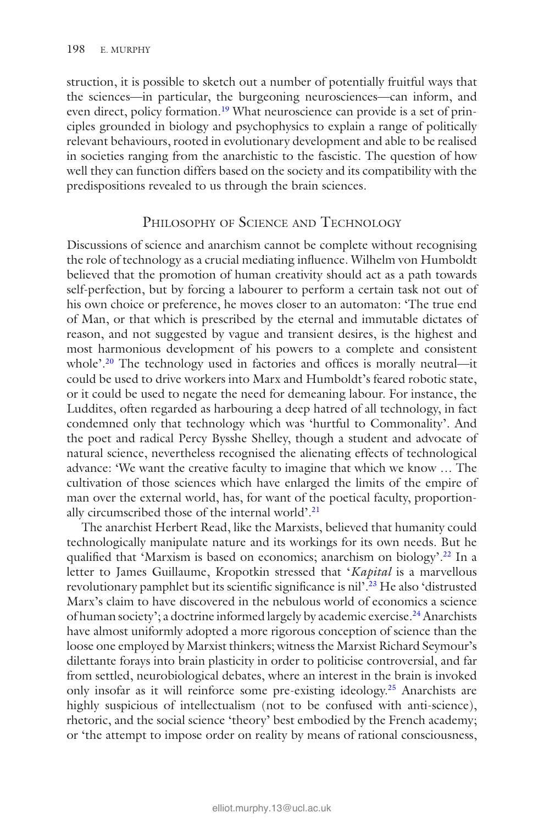struction, it is possible to sketch out a number of potentially fruitful ways that the sciences—in particular, the burgeoning neurosciences—can inform, and even direct, policy formation.<sup>19</sup> What neuroscience can provide is a set of principles grounded in biology and psychophysics to explain a range of politically relevant behaviours, rooted in evolutionary development and able to be realised in societies ranging from the anarchistic to the fascistic. The question of how well they can function differs based on the society and its compatibility with the predispositions revealed to us through the brain sciences.

### PHILOSOPHY OF SCIENCE AND TECHNOLOGY

Discussions of science and anarchism cannot be complete without recognising the role of technology as a crucial mediating influence. Wilhelm von Humboldt believed that the promotion of human creativity should act as a path towards self-perfection, but by forcing a labourer to perform a certain task not out of his own choice or preference, he moves closer to an automaton: 'The true end of Man, or that which is prescribed by the eternal and immutable dictates of reason, and not suggested by vague and transient desires, is the highest and most harmonious development of his powers to a complete and consistent whole'.<sup>20</sup> The technology used in factories and offices is morally neutral—it could be used to drive workers into Marx and Humboldt's feared robotic state, or it could be used to negate the need for demeaning labour. For instance, the Luddites, often regarded as harbouring a deep hatred of all technology, in fact condemned only that technology which was 'hurtful to Commonality'. And the poet and radical Percy Bysshe Shelley, though a student and advocate of natural science, nevertheless recognised the alienating effects of technological advance: 'We want the creative faculty to imagine that which we know … The cultivation of those sciences which have enlarged the limits of the empire of man over the external world, has, for want of the poetical faculty, proportionally circumscribed those of the internal world'.21

The anarchist Herbert Read, like the Marxists, believed that humanity could technologically manipulate nature and its workings for its own needs. But he qualified that 'Marxism is based on economics; anarchism on biology'.<sup>22</sup> In a letter to James Guillaume, Kropotkin stressed that '*Kapital* is a marvellous revolutionary pamphlet but its scientific significance is nil'.23 He also 'distrusted Marx's claim to have discovered in the nebulous world of economics a science of human society'; a doctrine informed largely by academic exercise.<sup>24</sup> Anarchists have almost uniformly adopted a more rigorous conception of science than the loose one employed by Marxist thinkers; witness the Marxist Richard Seymour's dilettante forays into brain plasticity in order to politicise controversial, and far from settled, neurobiological debates, where an interest in the brain is invoked only insofar as it will reinforce some pre-existing ideology.25 Anarchists are highly suspicious of intellectualism (not to be confused with anti-science), rhetoric, and the social science 'theory' best embodied by the French academy; or 'the attempt to impose order on reality by means of rational consciousness,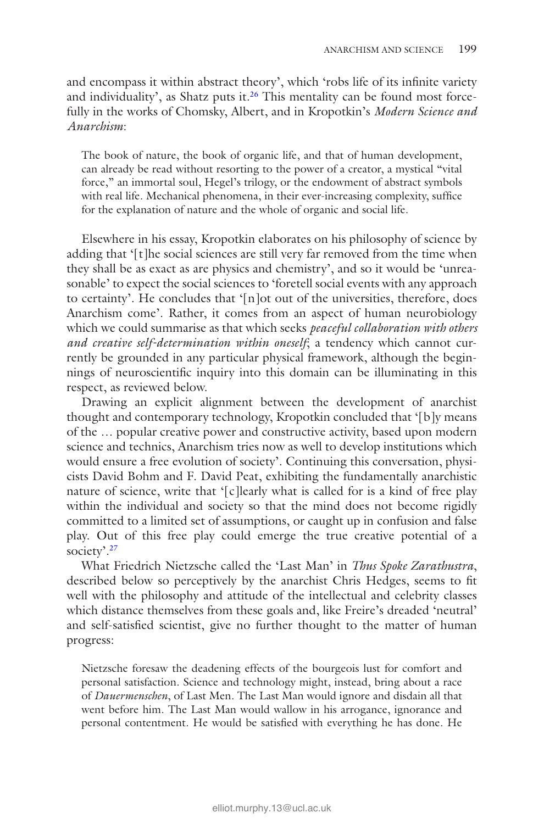and encompass it within abstract theory', which 'robs life of its infinite variety and individuality', as Shatz puts it. $26$  This mentality can be found most forcefully in the works of Chomsky, Albert, and in Kropotkin's *Modern Science and Anarchism*:

The book of nature, the book of organic life, and that of human development, can already be read without resorting to the power of a creator, a mystical "vital force," an immortal soul, Hegel's trilogy, or the endowment of abstract symbols with real life. Mechanical phenomena, in their ever-increasing complexity, suffice for the explanation of nature and the whole of organic and social life.

Elsewhere in his essay, Kropotkin elaborates on his philosophy of science by adding that '[t]he social sciences are still very far removed from the time when they shall be as exact as are physics and chemistry', and so it would be 'unreasonable' to expect the social sciences to 'foretell social events with any approach to certainty'. He concludes that '[n]ot out of the universities, therefore, does Anarchism come'. Rather, it comes from an aspect of human neurobiology which we could summarise as that which seeks *peaceful collaboration with others and creative self-determination within oneself*; a tendency which cannot currently be grounded in any particular physical framework, although the beginnings of neuroscientific inquiry into this domain can be illuminating in this respect, as reviewed below.

Drawing an explicit alignment between the development of anarchist thought and contemporary technology, Kropotkin concluded that '[b]y means of the … popular creative power and constructive activity, based upon modern science and technics, Anarchism tries now as well to develop institutions which would ensure a free evolution of society'. Continuing this conversation, physicists David Bohm and F. David Peat, exhibiting the fundamentally anarchistic nature of science, write that '[c]learly what is called for is a kind of free play within the individual and society so that the mind does not become rigidly committed to a limited set of assumptions, or caught up in confusion and false play. Out of this free play could emerge the true creative potential of a society'.27

What Friedrich Nietzsche called the 'Last Man' in *Thus Spoke Zarathustra*, described below so perceptively by the anarchist Chris Hedges, seems to fit well with the philosophy and attitude of the intellectual and celebrity classes which distance themselves from these goals and, like Freire's dreaded 'neutral' and self-satisfied scientist, give no further thought to the matter of human progress:

Nietzsche foresaw the deadening effects of the bourgeois lust for comfort and personal satisfaction. Science and technology might, instead, bring about a race of *Dauermenschen*, of Last Men. The Last Man would ignore and disdain all that went before him. The Last Man would wallow in his arrogance, ignorance and personal contentment. He would be satisfied with everything he has done. He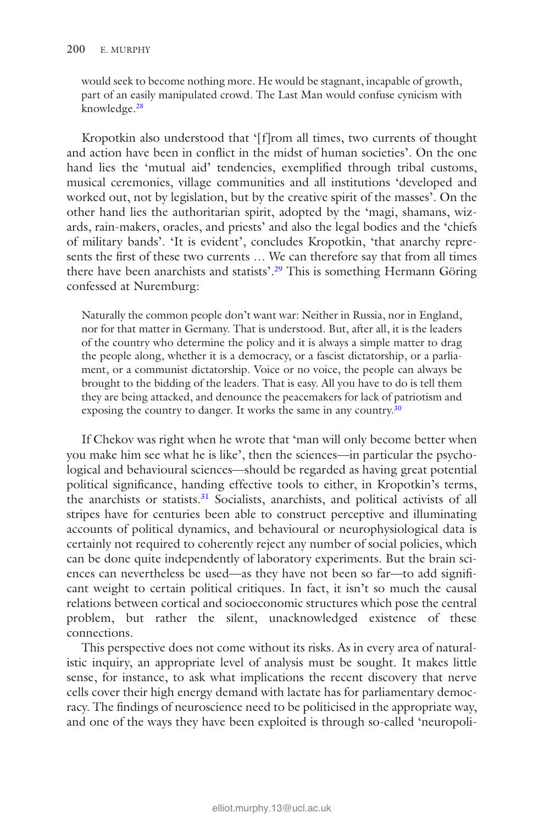would seek to become nothing more. He would be stagnant, incapable of growth, part of an easily manipulated crowd. The Last Man would confuse cynicism with knowledge.28

Kropotkin also understood that '[f]rom all times, two currents of thought and action have been in conflict in the midst of human societies'. On the one hand lies the 'mutual aid' tendencies, exemplified through tribal customs, musical ceremonies, village communities and all institutions 'developed and worked out, not by legislation, but by the creative spirit of the masses'. On the other hand lies the authoritarian spirit, adopted by the 'magi, shamans, wizards, rain-makers, oracles, and priests' and also the legal bodies and the 'chiefs of military bands'. 'It is evident', concludes Kropotkin, 'that anarchy represents the first of these two currents … We can therefore say that from all times there have been anarchists and statists'.29 This is something Hermann Göring confessed at Nuremburg:

Naturally the common people don't want war: Neither in Russia, nor in England, nor for that matter in Germany. That is understood. But, after all, it is the leaders of the country who determine the policy and it is always a simple matter to drag the people along, whether it is a democracy, or a fascist dictatorship, or a parliament, or a communist dictatorship. Voice or no voice, the people can always be brought to the bidding of the leaders. That is easy. All you have to do is tell them they are being attacked, and denounce the peacemakers for lack of patriotism and exposing the country to danger. It works the same in any country.<sup>30</sup>

If Chekov was right when he wrote that 'man will only become better when you make him see what he is like', then the sciences—in particular the psychological and behavioural sciences—should be regarded as having great potential political significance, handing effective tools to either, in Kropotkin's terms, the anarchists or statists.31 Socialists, anarchists, and political activists of all stripes have for centuries been able to construct perceptive and illuminating accounts of political dynamics, and behavioural or neurophysiological data is certainly not required to coherently reject any number of social policies, which can be done quite independently of laboratory experiments. But the brain sciences can nevertheless be used—as they have not been so far—to add significant weight to certain political critiques. In fact, it isn't so much the causal relations between cortical and socioeconomic structures which pose the central problem, but rather the silent, unacknowledged existence of these connections.

This perspective does not come without its risks. As in every area of naturalistic inquiry, an appropriate level of analysis must be sought. It makes little sense, for instance, to ask what implications the recent discovery that nerve cells cover their high energy demand with lactate has for parliamentary democracy. The findings of neuroscience need to be politicised in the appropriate way, and one of the ways they have been exploited is through so-called 'neuropoli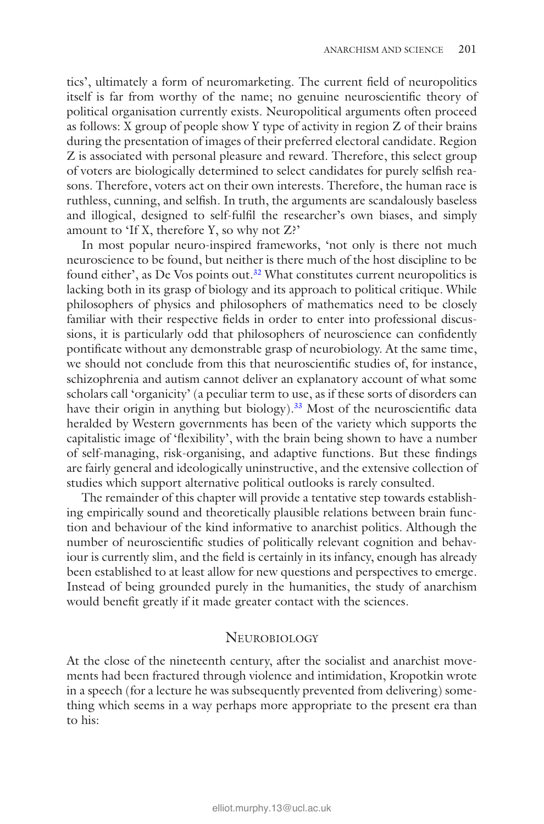tics', ultimately a form of neuromarketing. The current field of neuropolitics itself is far from worthy of the name; no genuine neuroscientific theory of political organisation currently exists. Neuropolitical arguments often proceed as follows: X group of people show Y type of activity in region Z of their brains during the presentation of images of their preferred electoral candidate. Region Z is associated with personal pleasure and reward. Therefore, this select group of voters are biologically determined to select candidates for purely selfish reasons. Therefore, voters act on their own interests. Therefore, the human race is ruthless, cunning, and selfish. In truth, the arguments are scandalously baseless and illogical, designed to self-fulfil the researcher's own biases, and simply amount to 'If X, therefore Y, so why not Z?'

In most popular neuro-inspired frameworks, 'not only is there not much neuroscience to be found, but neither is there much of the host discipline to be found either', as De Vos points out.<sup>32</sup> What constitutes current neuropolitics is lacking both in its grasp of biology and its approach to political critique. While philosophers of physics and philosophers of mathematics need to be closely familiar with their respective fields in order to enter into professional discussions, it is particularly odd that philosophers of neuroscience can confidently pontificate without any demonstrable grasp of neurobiology. At the same time, we should not conclude from this that neuroscientific studies of, for instance, schizophrenia and autism cannot deliver an explanatory account of what some scholars call 'organicity' (a peculiar term to use, as if these sorts of disorders can have their origin in anything but biology).<sup>33</sup> Most of the neuroscientific data heralded by Western governments has been of the variety which supports the capitalistic image of 'flexibility', with the brain being shown to have a number of self-managing, risk-organising, and adaptive functions. But these findings are fairly general and ideologically uninstructive, and the extensive collection of studies which support alternative political outlooks is rarely consulted.

The remainder of this chapter will provide a tentative step towards establishing empirically sound and theoretically plausible relations between brain function and behaviour of the kind informative to anarchist politics. Although the number of neuroscientific studies of politically relevant cognition and behaviour is currently slim, and the field is certainly in its infancy, enough has already been established to at least allow for new questions and perspectives to emerge. Instead of being grounded purely in the humanities, the study of anarchism would benefit greatly if it made greater contact with the sciences.

#### **NEUROBIOLOGY**

At the close of the nineteenth century, after the socialist and anarchist movements had been fractured through violence and intimidation, Kropotkin wrote in a speech (for a lecture he was subsequently prevented from delivering) something which seems in a way perhaps more appropriate to the present era than to his: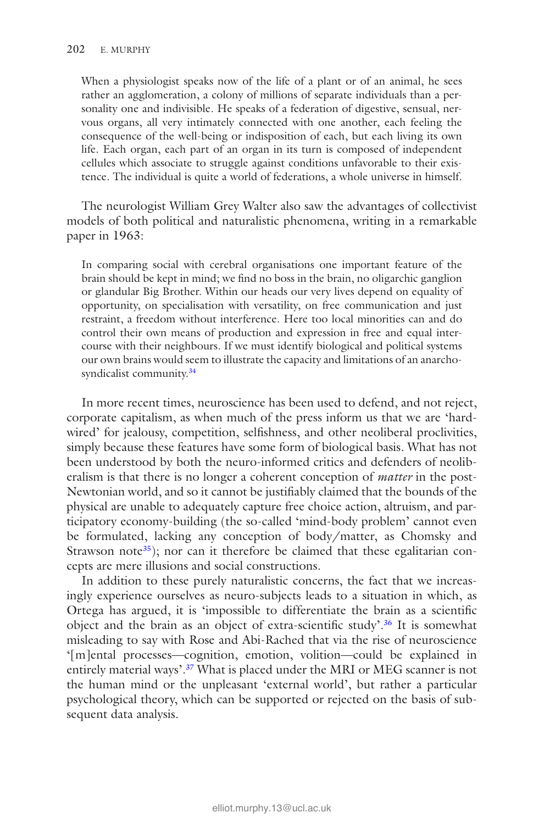When a physiologist speaks now of the life of a plant or of an animal, he sees rather an agglomeration, a colony of millions of separate individuals than a personality one and indivisible. He speaks of a federation of digestive, sensual, nervous organs, all very intimately connected with one another, each feeling the consequence of the well-being or indisposition of each, but each living its own life. Each organ, each part of an organ in its turn is composed of independent cellules which associate to struggle against conditions unfavorable to their existence. The individual is quite a world of federations, a whole universe in himself.

The neurologist William Grey Walter also saw the advantages of collectivist models of both political and naturalistic phenomena, writing in a remarkable paper in 1963:

In comparing social with cerebral organisations one important feature of the brain should be kept in mind; we find no boss in the brain, no oligarchic ganglion or glandular Big Brother. Within our heads our very lives depend on equality of opportunity, on specialisation with versatility, on free communication and just restraint, a freedom without interference. Here too local minorities can and do control their own means of production and expression in free and equal intercourse with their neighbours. If we must identify biological and political systems our own brains would seem to illustrate the capacity and limitations of an anarchosyndicalist community.<sup>34</sup>

In more recent times, neuroscience has been used to defend, and not reject, corporate capitalism, as when much of the press inform us that we are 'hardwired' for jealousy, competition, selfishness, and other neoliberal proclivities, simply because these features have some form of biological basis. What has not been understood by both the neuro-informed critics and defenders of neoliberalism is that there is no longer a coherent conception of *matter* in the post-Newtonian world, and so it cannot be justifiably claimed that the bounds of the physical are unable to adequately capture free choice action, altruism, and participatory economy-building (the so-called 'mind-body problem' cannot even be formulated, lacking any conception of body/matter, as Chomsky and Strawson note<sup>35</sup>); nor can it therefore be claimed that these egalitarian concepts are mere illusions and social constructions.

In addition to these purely naturalistic concerns, the fact that we increasingly experience ourselves as neuro-subjects leads to a situation in which, as Ortega has argued, it is 'impossible to differentiate the brain as a scientific object and the brain as an object of extra-scientific study'.36 It is somewhat misleading to say with Rose and Abi-Rached that via the rise of neuroscience '[m]ental processes—cognition, emotion, volition—could be explained in entirely material ways'.<sup>37</sup> What is placed under the MRI or MEG scanner is not the human mind or the unpleasant 'external world', but rather a particular psychological theory, which can be supported or rejected on the basis of subsequent data analysis.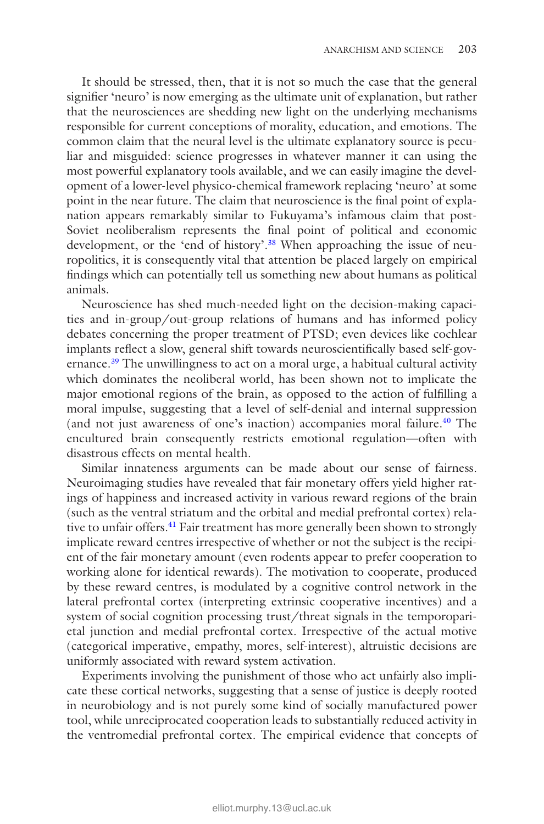It should be stressed, then, that it is not so much the case that the general signifier 'neuro' is now emerging as the ultimate unit of explanation, but rather that the neurosciences are shedding new light on the underlying mechanisms responsible for current conceptions of morality, education, and emotions. The common claim that the neural level is the ultimate explanatory source is peculiar and misguided: science progresses in whatever manner it can using the most powerful explanatory tools available, and we can easily imagine the development of a lower-level physico-chemical framework replacing 'neuro' at some point in the near future. The claim that neuroscience is the final point of explanation appears remarkably similar to Fukuyama's infamous claim that post-Soviet neoliberalism represents the final point of political and economic development, or the 'end of history'.<sup>38</sup> When approaching the issue of neuropolitics, it is consequently vital that attention be placed largely on empirical findings which can potentially tell us something new about humans as political animals.

Neuroscience has shed much-needed light on the decision-making capacities and in-group/out-group relations of humans and has informed policy debates concerning the proper treatment of PTSD; even devices like cochlear implants reflect a slow, general shift towards neuroscientifically based self-governance.<sup>39</sup> The unwillingness to act on a moral urge, a habitual cultural activity which dominates the neoliberal world, has been shown not to implicate the major emotional regions of the brain, as opposed to the action of fulfilling a moral impulse, suggesting that a level of self-denial and internal suppression (and not just awareness of one's inaction) accompanies moral failure.<sup>40</sup> The encultured brain consequently restricts emotional regulation—often with disastrous effects on mental health.

Similar innateness arguments can be made about our sense of fairness. Neuroimaging studies have revealed that fair monetary offers yield higher ratings of happiness and increased activity in various reward regions of the brain (such as the ventral striatum and the orbital and medial prefrontal cortex) relative to unfair offers.<sup>41</sup> Fair treatment has more generally been shown to strongly implicate reward centres irrespective of whether or not the subject is the recipient of the fair monetary amount (even rodents appear to prefer cooperation to working alone for identical rewards). The motivation to cooperate, produced by these reward centres, is modulated by a cognitive control network in the lateral prefrontal cortex (interpreting extrinsic cooperative incentives) and a system of social cognition processing trust/threat signals in the temporoparietal junction and medial prefrontal cortex. Irrespective of the actual motive (categorical imperative, empathy, mores, self-interest), altruistic decisions are uniformly associated with reward system activation.

Experiments involving the punishment of those who act unfairly also implicate these cortical networks, suggesting that a sense of justice is deeply rooted in neurobiology and is not purely some kind of socially manufactured power tool, while unreciprocated cooperation leads to substantially reduced activity in the ventromedial prefrontal cortex. The empirical evidence that concepts of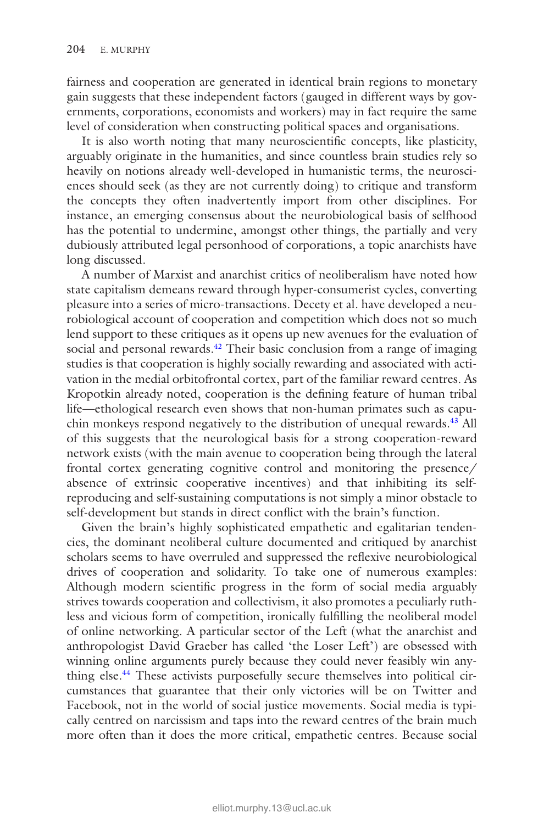fairness and cooperation are generated in identical brain regions to monetary gain suggests that these independent factors (gauged in different ways by governments, corporations, economists and workers) may in fact require the same level of consideration when constructing political spaces and organisations.

It is also worth noting that many neuroscientific concepts, like plasticity, arguably originate in the humanities, and since countless brain studies rely so heavily on notions already well-developed in humanistic terms, the neurosciences should seek (as they are not currently doing) to critique and transform the concepts they often inadvertently import from other disciplines. For instance, an emerging consensus about the neurobiological basis of selfhood has the potential to undermine, amongst other things, the partially and very dubiously attributed legal personhood of corporations, a topic anarchists have long discussed.

A number of Marxist and anarchist critics of neoliberalism have noted how state capitalism demeans reward through hyper-consumerist cycles, converting pleasure into a series of micro-transactions. Decety et al. have developed a neurobiological account of cooperation and competition which does not so much lend support to these critiques as it opens up new avenues for the evaluation of social and personal rewards.<sup>42</sup> Their basic conclusion from a range of imaging studies is that cooperation is highly socially rewarding and associated with activation in the medial orbitofrontal cortex, part of the familiar reward centres. As Kropotkin already noted, cooperation is the defining feature of human tribal life—ethological research even shows that non-human primates such as capuchin monkeys respond negatively to the distribution of unequal rewards.43 All of this suggests that the neurological basis for a strong cooperation-reward network exists (with the main avenue to cooperation being through the lateral frontal cortex generating cognitive control and monitoring the presence/ absence of extrinsic cooperative incentives) and that inhibiting its selfreproducing and self-sustaining computations is not simply a minor obstacle to self-development but stands in direct conflict with the brain's function.

Given the brain's highly sophisticated empathetic and egalitarian tendencies, the dominant neoliberal culture documented and critiqued by anarchist scholars seems to have overruled and suppressed the reflexive neurobiological drives of cooperation and solidarity. To take one of numerous examples: Although modern scientific progress in the form of social media arguably strives towards cooperation and collectivism, it also promotes a peculiarly ruthless and vicious form of competition, ironically fulfilling the neoliberal model of online networking. A particular sector of the Left (what the anarchist and anthropologist David Graeber has called 'the Loser Left') are obsessed with winning online arguments purely because they could never feasibly win anything else.<sup>44</sup> These activists purposefully secure themselves into political circumstances that guarantee that their only victories will be on Twitter and Facebook, not in the world of social justice movements. Social media is typically centred on narcissism and taps into the reward centres of the brain much more often than it does the more critical, empathetic centres. Because social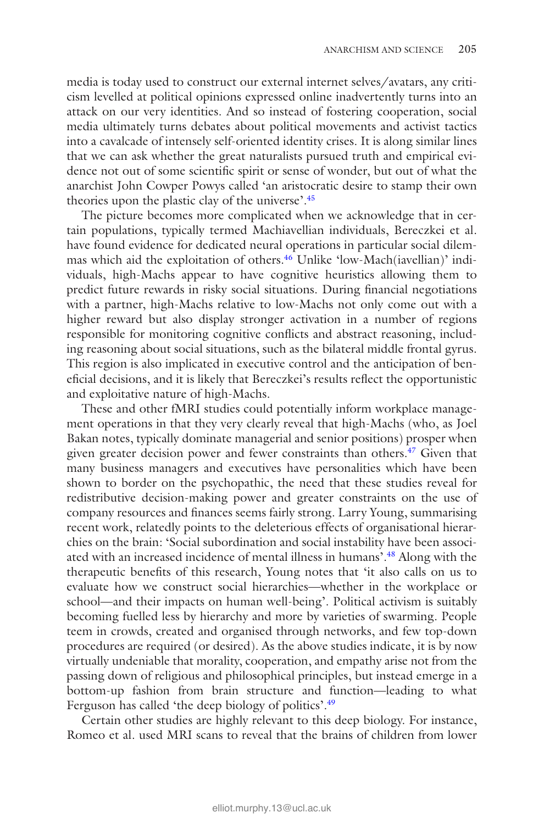media is today used to construct our external internet selves/avatars, any criticism levelled at political opinions expressed online inadvertently turns into an attack on our very identities. And so instead of fostering cooperation, social media ultimately turns debates about political movements and activist tactics into a cavalcade of intensely self-oriented identity crises. It is along similar lines that we can ask whether the great naturalists pursued truth and empirical evidence not out of some scientific spirit or sense of wonder, but out of what the anarchist John Cowper Powys called 'an aristocratic desire to stamp their own theories upon the plastic clay of the universe'.45

The picture becomes more complicated when we acknowledge that in certain populations, typically termed Machiavellian individuals, Bereczkei et al. have found evidence for dedicated neural operations in particular social dilemmas which aid the exploitation of others.<sup>46</sup> Unlike 'low-Mach(iavellian)' individuals, high-Machs appear to have cognitive heuristics allowing them to predict future rewards in risky social situations. During financial negotiations with a partner, high-Machs relative to low-Machs not only come out with a higher reward but also display stronger activation in a number of regions responsible for monitoring cognitive conflicts and abstract reasoning, including reasoning about social situations, such as the bilateral middle frontal gyrus. This region is also implicated in executive control and the anticipation of beneficial decisions, and it is likely that Bereczkei's results reflect the opportunistic and exploitative nature of high-Machs.

These and other fMRI studies could potentially inform workplace management operations in that they very clearly reveal that high-Machs (who, as Joel Bakan notes, typically dominate managerial and senior positions) prosper when given greater decision power and fewer constraints than others.47 Given that many business managers and executives have personalities which have been shown to border on the psychopathic, the need that these studies reveal for redistributive decision-making power and greater constraints on the use of company resources and finances seems fairly strong. Larry Young, summarising recent work, relatedly points to the deleterious effects of organisational hierarchies on the brain: 'Social subordination and social instability have been associated with an increased incidence of mental illness in humans'.<sup>48</sup> Along with the therapeutic benefits of this research, Young notes that 'it also calls on us to evaluate how we construct social hierarchies—whether in the workplace or school—and their impacts on human well-being'. Political activism is suitably becoming fuelled less by hierarchy and more by varieties of swarming. People teem in crowds, created and organised through networks, and few top-down procedures are required (or desired). As the above studies indicate, it is by now virtually undeniable that morality, cooperation, and empathy arise not from the passing down of religious and philosophical principles, but instead emerge in a bottom-up fashion from brain structure and function—leading to what Ferguson has called 'the deep biology of politics'.<sup>49</sup>

Certain other studies are highly relevant to this deep biology. For instance, Romeo et al. used MRI scans to reveal that the brains of children from lower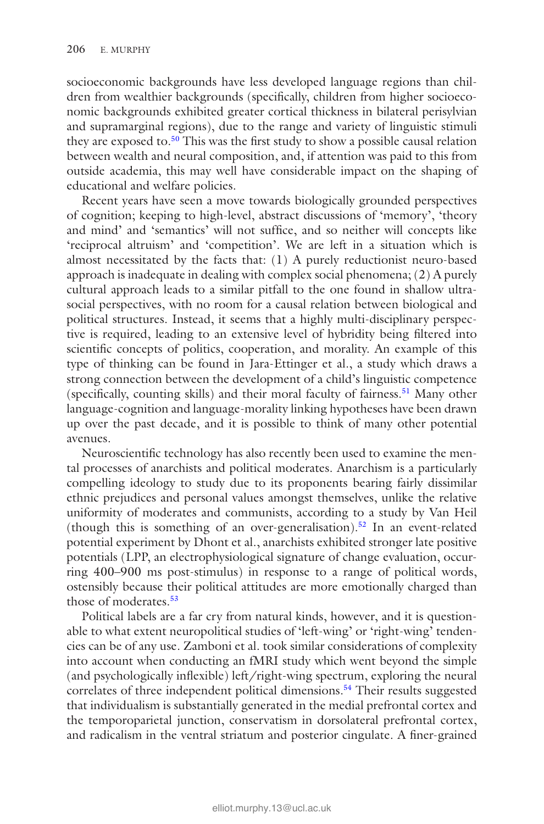socioeconomic backgrounds have less developed language regions than children from wealthier backgrounds (specifically, children from higher socioeconomic backgrounds exhibited greater cortical thickness in bilateral perisylvian and supramarginal regions), due to the range and variety of linguistic stimuli they are exposed to.50 This was the first study to show a possible causal relation between wealth and neural composition, and, if attention was paid to this from outside academia, this may well have considerable impact on the shaping of educational and welfare policies.

Recent years have seen a move towards biologically grounded perspectives of cognition; keeping to high-level, abstract discussions of 'memory', 'theory and mind' and 'semantics' will not suffice, and so neither will concepts like 'reciprocal altruism' and 'competition'. We are left in a situation which is almost necessitated by the facts that: (1) A purely reductionist neuro-based approach is inadequate in dealing with complex social phenomena; (2) A purely cultural approach leads to a similar pitfall to the one found in shallow ultrasocial perspectives, with no room for a causal relation between biological and political structures. Instead, it seems that a highly multi-disciplinary perspective is required, leading to an extensive level of hybridity being filtered into scientific concepts of politics, cooperation, and morality. An example of this type of thinking can be found in Jara-Ettinger et al., a study which draws a strong connection between the development of a child's linguistic competence (specifically, counting skills) and their moral faculty of fairness.<sup>51</sup> Many other language-cognition and language-morality linking hypotheses have been drawn up over the past decade, and it is possible to think of many other potential avenues.

Neuroscientific technology has also recently been used to examine the mental processes of anarchists and political moderates. Anarchism is a particularly compelling ideology to study due to its proponents bearing fairly dissimilar ethnic prejudices and personal values amongst themselves, unlike the relative uniformity of moderates and communists, according to a study by Van Heil (though this is something of an over-generalisation).<sup>52</sup> In an event-related potential experiment by Dhont et al., anarchists exhibited stronger late positive potentials (LPP, an electrophysiological signature of change evaluation, occurring 400–900 ms post-stimulus) in response to a range of political words, ostensibly because their political attitudes are more emotionally charged than those of moderates.<sup>53</sup>

Political labels are a far cry from natural kinds, however, and it is questionable to what extent neuropolitical studies of 'left-wing' or 'right-wing' tendencies can be of any use. Zamboni et al. took similar considerations of complexity into account when conducting an fMRI study which went beyond the simple (and psychologically inflexible) left/right-wing spectrum, exploring the neural correlates of three independent political dimensions.<sup>54</sup> Their results suggested that individualism is substantially generated in the medial prefrontal cortex and the temporoparietal junction, conservatism in dorsolateral prefrontal cortex, and radicalism in the ventral striatum and posterior cingulate. A finer-grained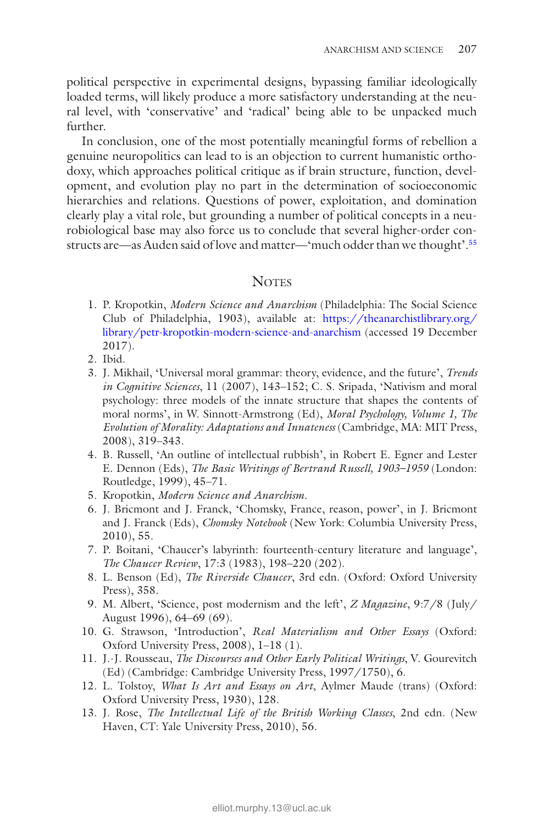political perspective in experimental designs, bypassing familiar ideologically loaded terms, will likely produce a more satisfactory understanding at the neural level, with 'conservative' and 'radical' being able to be unpacked much further.

In conclusion, one of the most potentially meaningful forms of rebellion a genuine neuropolitics can lead to is an objection to current humanistic orthodoxy, which approaches political critique as if brain structure, function, development, and evolution play no part in the determination of socioeconomic hierarchies and relations. Questions of power, exploitation, and domination clearly play a vital role, but grounding a number of political concepts in a neurobiological base may also force us to conclude that several higher-order constructs are—as Auden said of love and matter—'much odder than we thought'.55

# **NOTES**

- 1. P. Kropotkin, *Modern Science and Anarchism* (Philadelphia: The Social Science Club of Philadelphia, 1903), available at: [https://theanarchistlibrary.org/](https://theanarchistlibrary.org/library/petr-kropotkin-modern-science-and-anarchism) [library/petr-kropotkin-modern-science-and-anarchism](https://theanarchistlibrary.org/library/petr-kropotkin-modern-science-and-anarchism) (accessed 19 December 2017).
- 2. Ibid.
- 3. J. Mikhail, 'Universal moral grammar: theory, evidence, and the future', *Trends in Cognitive Sciences*, 11 (2007), 143–152; C. S. Sripada, 'Nativism and moral psychology: three models of the innate structure that shapes the contents of moral norms', in W. Sinnott-Armstrong (Ed), *Moral Psychology, Volume 1, The Evolution of Morality: Adaptations and Innateness* (Cambridge, MA: MIT Press, 2008), 319–343.
- 4. B. Russell, 'An outline of intellectual rubbish', in Robert E. Egner and Lester E. Dennon (Eds), *The Basic Writings of Bertrand Russell, 1903–1959* (London: Routledge, 1999), 45–71.
- 5. Kropotkin, *Modern Science and Anarchism*.
- 6. J. Bricmont and J. Franck, 'Chomsky, France, reason, power', in J. Bricmont and J. Franck (Eds), *Chomsky Notebook* (New York: Columbia University Press, 2010), 55.
- 7. P. Boitani, 'Chaucer's labyrinth: fourteenth-century literature and language', *The Chaucer Review*, 17:3 (1983), 198–220 (202).
- 8. L. Benson (Ed), *The Riverside Chaucer*, 3rd edn. (Oxford: Oxford University Press), 358.
- 9. M. Albert, 'Science, post modernism and the left', *Z Magazine*, 9:7/8 (July/ August 1996), 64–69 (69).
- 10. G. Strawson, 'Introduction', *Real Materialism and Other Essays* (Oxford: Oxford University Press, 2008), 1–18 (1).
- 11. J.-J. Rousseau, *The Discourses and Other Early Political Writings*, V. Gourevitch (Ed) (Cambridge: Cambridge University Press, 1997/1750), 6.
- 12. L. Tolstoy, *What Is Art and Essays on Art*, Aylmer Maude (trans) (Oxford: Oxford University Press, 1930), 128.
- 13. J. Rose, *The Intellectual Life of the British Working Classes*, 2nd edn. (New Haven, CT: Yale University Press, 2010), 56.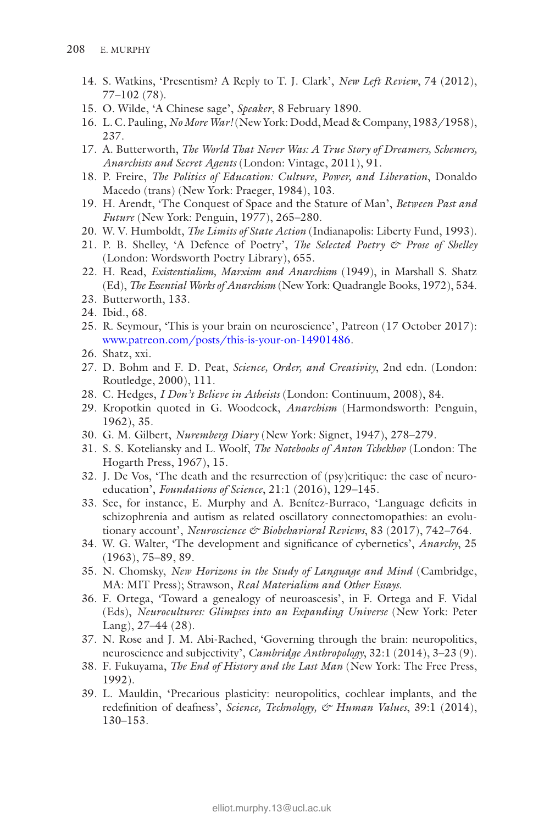- 14. S. Watkins, 'Presentism? A Reply to T. J. Clark', *New Left Review*, 74 (2012), 77–102 (78).
- 15. O. Wilde, 'A Chinese sage', *Speaker*, 8 February 1890.
- 16. L. C. Pauling, *No More War!* (New York: Dodd, Mead & Company, 1983/1958), 237.
- 17. A. Butterworth, *The World That Never Was: A True Story of Dreamers, Schemers, Anarchists and Secret Agents* (London: Vintage, 2011), 91.
- 18. P. Freire, *The Politics of Education: Culture, Power, and Liberation*, Donaldo Macedo (trans) (New York: Praeger, 1984), 103.
- 19. H. Arendt, 'The Conquest of Space and the Stature of Man', *Between Past and Future* (New York: Penguin, 1977), 265–280.
- 20. W. V. Humboldt, *The Limits of State Action* (Indianapolis: Liberty Fund, 1993).
- 21. P. B. Shelley, 'A Defence of Poetry', *The Selected Poetry & Prose of Shelley* (London: Wordsworth Poetry Library), 655.
- 22. H. Read, *Existentialism, Marxism and Anarchism* (1949), in Marshall S. Shatz (Ed), *The Essential Works of Anarchism* (New York: Quadrangle Books, 1972), 534.
- 23. Butterworth, 133.
- 24. Ibid., 68.
- 25. R. Seymour, 'This is your brain on neuroscience', Patreon (17 October 2017): [www.patreon.com/posts/this-is-your-on-14901486](http://www.patreon.com/posts/this-is-your-on-14901486).
- 26. Shatz, xxi.
- 27. D. Bohm and F. D. Peat, *Science, Order, and Creativity*, 2nd edn. (London: Routledge, 2000), 111.
- 28. C. Hedges, *I Don't Believe in Atheists* (London: Continuum, 2008), 84.
- 29. Kropotkin quoted in G. Woodcock, *Anarchism* (Harmondsworth: Penguin, 1962), 35.
- 30. G. M. Gilbert, *Nuremberg Diary* (New York: Signet, 1947), 278–279.
- 31. S. S. Koteliansky and L. Woolf, *The Notebooks of Anton Tchekhov* (London: The Hogarth Press, 1967), 15.
- 32. J. De Vos, 'The death and the resurrection of (psy)critique: the case of neuroeducation', *Foundations of Science*, 21:1 (2016), 129–145.
- 33. See, for instance, E. Murphy and A. Benítez-Burraco, 'Language deficits in schizophrenia and autism as related oscillatory connectomopathies: an evolutionary account', *Neuroscience* & Biobehavioral Reviews, 83 (2017), 742-764.
- 34. W. G. Walter, 'The development and significance of cybernetics', *Anarchy*, 25 (1963), 75–89, 89.
- 35. N. Chomsky, *New Horizons in the Study of Language and Mind* (Cambridge, MA: MIT Press); Strawson, *Real Materialism and Other Essays*.
- 36. F. Ortega, 'Toward a genealogy of neuroascesis', in F. Ortega and F. Vidal (Eds), *Neurocultures: Glimpses into an Expanding Universe* (New York: Peter Lang), 27–44 (28).
- 37. N. Rose and J. M. Abi-Rached, 'Governing through the brain: neuropolitics, neuroscience and subjectivity', *Cambridge Anthropology*, 32:1 (2014), 3–23 (9).
- 38. F. Fukuyama, *The End of History and the Last Man* (New York: The Free Press, 1992).
- 39. L. Mauldin, 'Precarious plasticity: neuropolitics, cochlear implants, and the redefinition of deafness', *Science, Technology, & Human Values*, 39:1 (2014), 130–153.